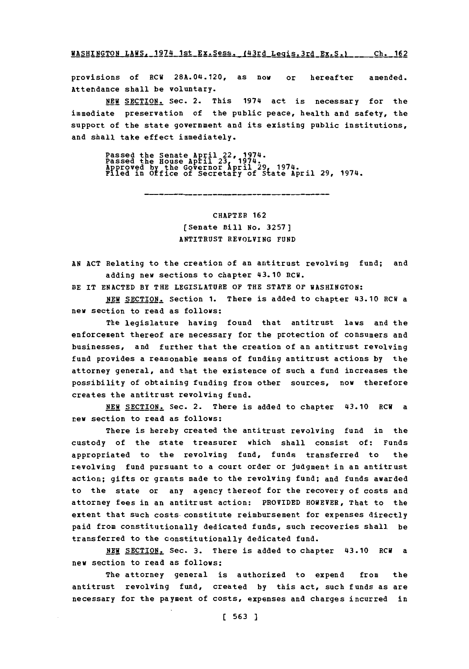WASHINGTON LAWS, 1974 1st Ex. Sess. (43rd Legis. 3rd Ex. S.) \_\_ Ch. 162

provisions **of** RCU 28A.04.120, as now or hereafter amended. Attendance shall be voluntary.

**NEW SECTION.** Sec. 2. This 1974 act is necessary for the immediate preservation of the public peace, health and safety, the support of the state government and its existing public institutions, and shall take effect immediately.

Passed the Senate April 22, 1974.<br>Passed the House April 23, 1974.<br>Approved by the Governor April 29, 1974.<br>Filed in Office of Secretary of State April 29, 1974.

## CHAPTER **162** (Senate Bill no. **3257]** ANTITRUST REVOLVING **FUND**

**AN ACT** Relating to the creation of an antitrust revolving fund; and adding new sections to chapter 43.10 RCW.

BE IT **ENACTED** BY THE LEGISLATURE OF THE **STATE** OF WASHINGTON:

**NEW SECTION.** Section 1. There is added to chapter 43.10 RCW a new section to read as follows:

The legislature having found that antitrust laws and the enforcement thereof are necessary for the protection of consumers and businesses, and further that the creation of an antitrust revolving fund provides a reasonable means of funding antitrust actions **by** the attorney general, and that the existence of such a fund increases the possibility of obtaining funding from other sources, now therefore creates the antitrust revolving fund.

**NEW SECTION.** Sec. 2. There is added to chapter 43.10 RCW a new section to read as follows:

There is hereby created the antitrust revolving fund in the custody of the state treasurer which shall consist of: Funds appropriated to the revolving fund, funds transferred to the revolving fund pursuant to a court order or judgment in an antitrust action; gifts or grants made to the revolving fund; and funds awarded to the state or any agency thereof for the recovery of costs and attorney fees in an antitrust action: PROVIDED HOWEVER, That to the extent that such costs constitute reimbursement for expenses directly paid from constitutionally dedicated funds, such recoveries shall be transferred to the constitutionally dedicated fund.

**NEW** SECTION. Sec. **3.** There is added to chapter 43.10 ECU a new section to read as follows:

The attorney general is authorized to expend from the antitrust revolving fund, created **by** this act, such funds as are necessary for the payment of costs, expenses and charges incurred in